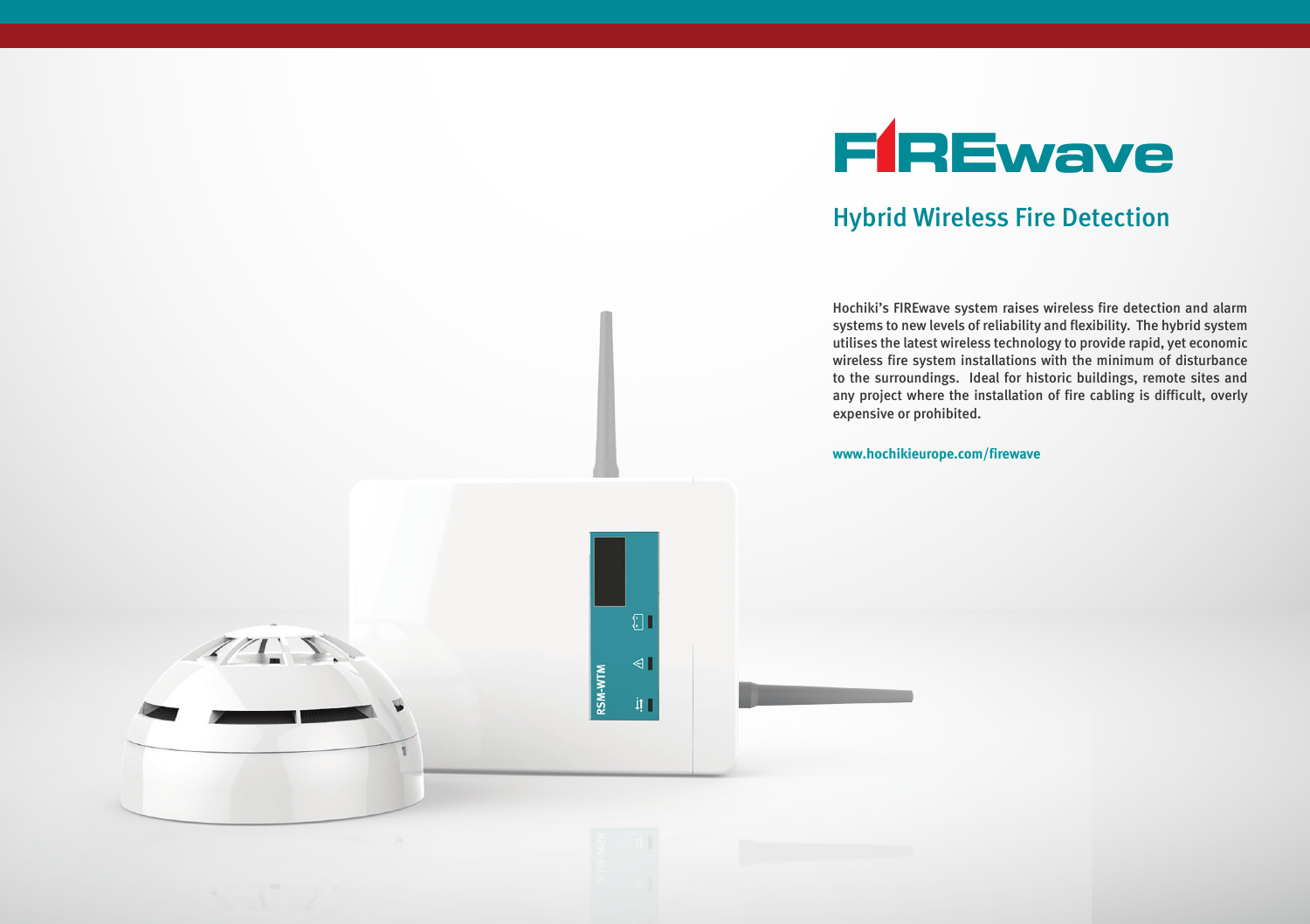

# Hybrid Wireless Fire Detection

Hochiki's FIREwave system raises wireless fire detection and alarm systems to new levels of reliability and flexibility. The hybrid system utilises the latest wireless technology to provide rapid, yet economic wireless fire system installations with the minimum of disturbance to the surroundings. Ideal for historic buildings, remote sites and any project where the installation of fire cabling is difficult, overly expensive or prohibited.

**www.hochikieurope.com/firewave**

 $\Omega$ 

 $\blacktriangleleft$ 

RSM-WTM  $\mathbf{H}$ 

 $Z/T$ .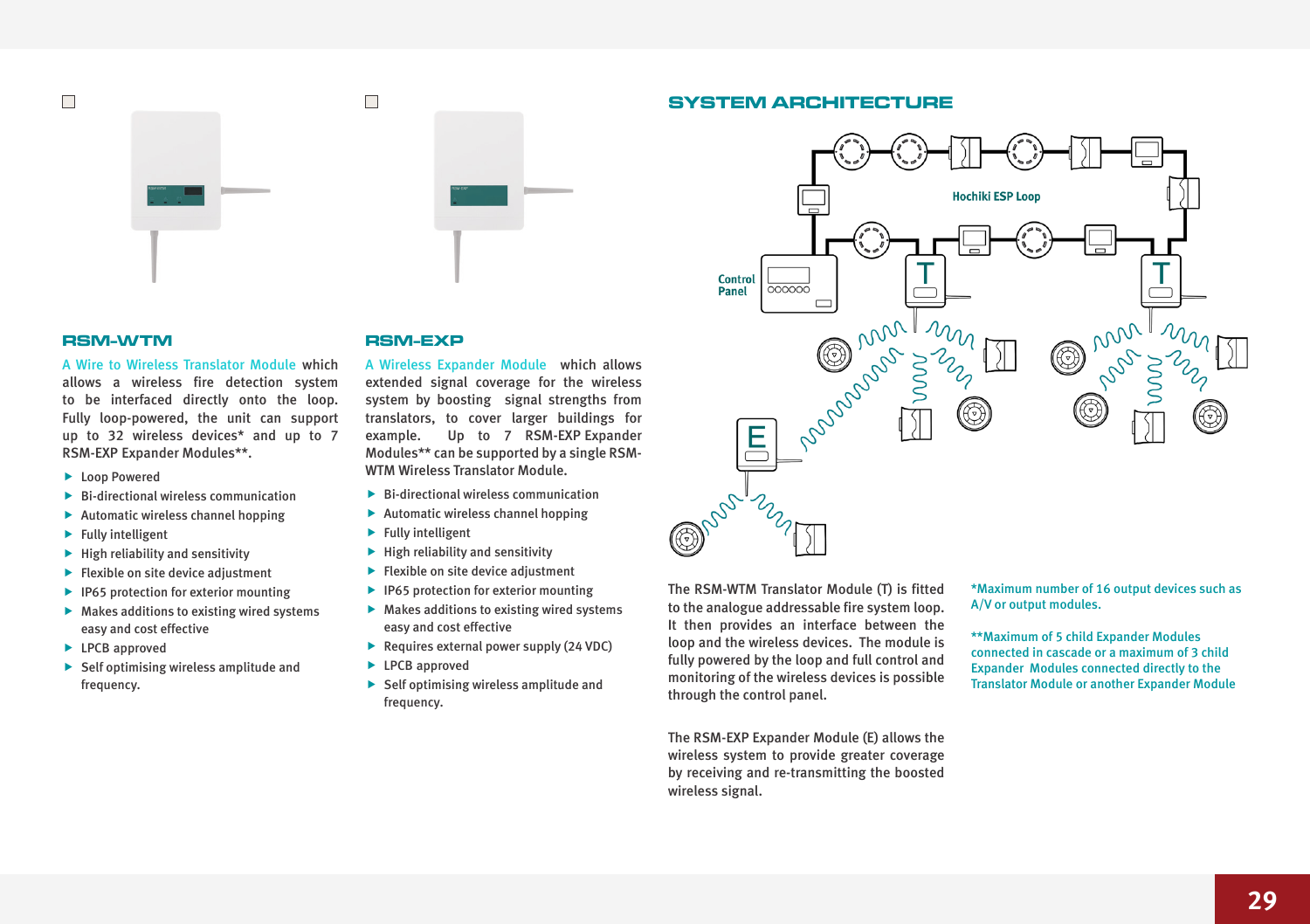# $\Box$



#### **RSM-WTM**

A Wire to Wireless Translator Module which allows a wireless fire detection system to be interfaced directly onto the loop. Fully loop-powered, the unit can support up to 32 wireless devices\* and up to 7 RSM-EXP Expander Modules\*\*.

- **F** Loop Powered
- $\blacktriangleright$  Bi-directional wireless communication
- $\blacktriangleright$  Automatic wireless channel hopping
- $\blacktriangleright$  Fully intelligent
- $\blacktriangleright$  High reliability and sensitivity
- $\blacktriangleright$  Flexible on site device adjustment
- $\blacktriangleright$  IP65 protection for exterior mounting
- $\blacktriangleright$  Makes additions to existing wired systems easy and cost effective
- $\blacktriangleright$  LPCB approved
- $\blacktriangleright$  Self optimising wireless amplitude and frequency.

#### **RSM-EXP**

A Wireless Expander Module which allows extended signal coverage for the wireless system by boosting signal strengths from translators, to cover larger buildings for example. Up to 7 RSM-EXP Expander Modules\*\* can be supported by a single RSM-WTM Wireless Translator Module.

- $\blacktriangleright$  Bi-directional wireless communication
- $\blacktriangleright$  Automatic wireless channel hopping
- $\blacktriangleright$  Fully intelligent
- $\blacktriangleright$  High reliability and sensitivity
- $\blacktriangleright$  Flexible on site device adjustment
- $\blacktriangleright$  IP65 protection for exterior mounting
- $\blacktriangleright$  Makes additions to existing wired systems easy and cost effective
- $\blacktriangleright$  Requires external power supply (24 VDC)
- $\blacktriangleright$  LPCB approved
- $\blacktriangleright$  Self optimising wireless amplitude and frequency.





The RSM-WTM Translator Module (T) is fitted to the analogue addressable fire system loop. It then provides an interface between the loop and the wireless devices. The module is fully powered by the loop and full control and monitoring of the wireless devices is possible through the control panel.

The RSM-EXP Expander Module (E) allows the wireless system to provide greater coverage by receiving and re-transmitting the boosted wireless signal.

\*Maximum number of 16 output devices such as A/V or output modules.

\*\*Maximum of 5 child Expander Modules connected in cascade or a maximum of 3 child Expander Modules connected directly to the Translator Module or another Expander Module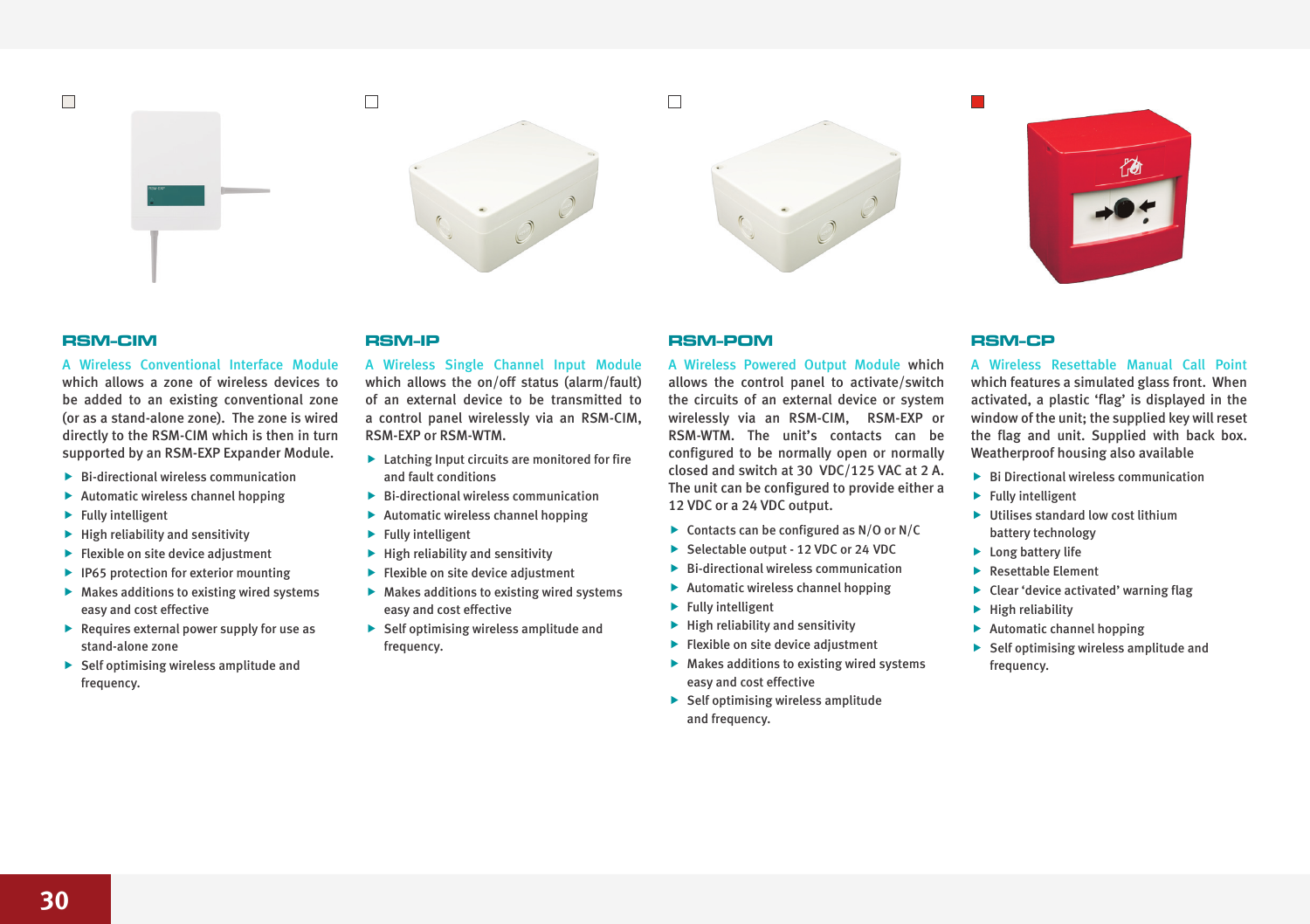$\Box$ 



## **RSM-CIM**

A Wireless Conventional Interface Module which allows a zone of wireless devices to be added to an existing conventional zone (or as a stand-alone zone). The zone is wired directly to the RSM-CIM which is then in turn supported by an RSM-EXP Expander Module.

- $\blacktriangleright$  Bi-directional wireless communication
- $\blacktriangleright$  Automatic wireless channel hopping
- $\blacktriangleright$  Fully intelligent
- $\blacktriangleright$  High reliability and sensitivity
- $\blacktriangleright$  Flexible on site device adjustment
- $\blacktriangleright$  IP65 protection for exterior mounting
- $\blacktriangleright$  Makes additions to existing wired systems easy and cost effective
- $\blacktriangleright$  Requires external power supply for use as stand-alone zone
- $\blacktriangleright$  Self optimising wireless amplitude and frequency.

#### **RSM-IP**

A Wireless Single Channel Input Module which allows the on/off status (alarm/fault) of an external device to be transmitted to a control panel wirelessly via an RSM-CIM, RSM-EXP or RSM-WTM.

- $\blacktriangleright$  Latching Input circuits are monitored for fire and fault conditions
- $\blacktriangleright$  Bi-directional wireless communication
- $\blacktriangleright$  Automatic wireless channel hopping
- $\blacktriangleright$  Fully intelligent
- $\blacktriangleright$  High reliability and sensitivity
- $\blacktriangleright$  Flexible on site device adjustment
- $\blacktriangleright$  Makes additions to existing wired systems easy and cost effective
- $\blacktriangleright$  Self optimising wireless amplitude and frequency.

# **RSM-POM**

A Wireless Powered Output Module which allows the control panel to activate/switch the circuits of an external device or system wirelessly via an RSM-CIM, RSM-EXP or RSM-WTM. The unit's contacts can be configured to be normally open or normally closed and switch at 30 VDC/125 VAC at 2 A. The unit can be configured to provide either a 12 VDC or a 24 VDC output.

- $\triangleright$  Contacts can be configured as N/O or N/C
- ▶ Selectable output 12 VDC or 24 VDC
- $\blacktriangleright$  Bi-directional wireless communication
- $\blacktriangleright$  Automatic wireless channel hopping
- $\blacktriangleright$  Fully intelligent
- $\blacktriangleright$  High reliability and sensitivity
- $\blacktriangleright$  Flexible on site device adjustment
- $\blacktriangleright$  Makes additions to existing wired systems easy and cost effective
- $\blacktriangleright$  Self optimising wireless amplitude and frequency.

#### **RSM-CP**

A Wireless Resettable Manual Call Point which features a simulated glass front. When activated, a plastic 'flag' is displayed in the window of the unit; the supplied key will reset the flag and unit. Supplied with back box. Weatherproof housing also available

- $\blacktriangleright$  Bi Directional wireless communication
- $\blacktriangleright$  Fully intelligent
- $\blacktriangleright$  Utilises standard low cost lithium battery technology
- $\blacktriangleright$  Long battery life
- **Resettable Element**
- $\blacktriangleright$  Clear 'device activated' warning flag
- $\blacktriangleright$  High reliability
- $\blacktriangleright$  Automatic channel hopping
- $\blacktriangleright$  Self optimising wireless amplitude and frequency.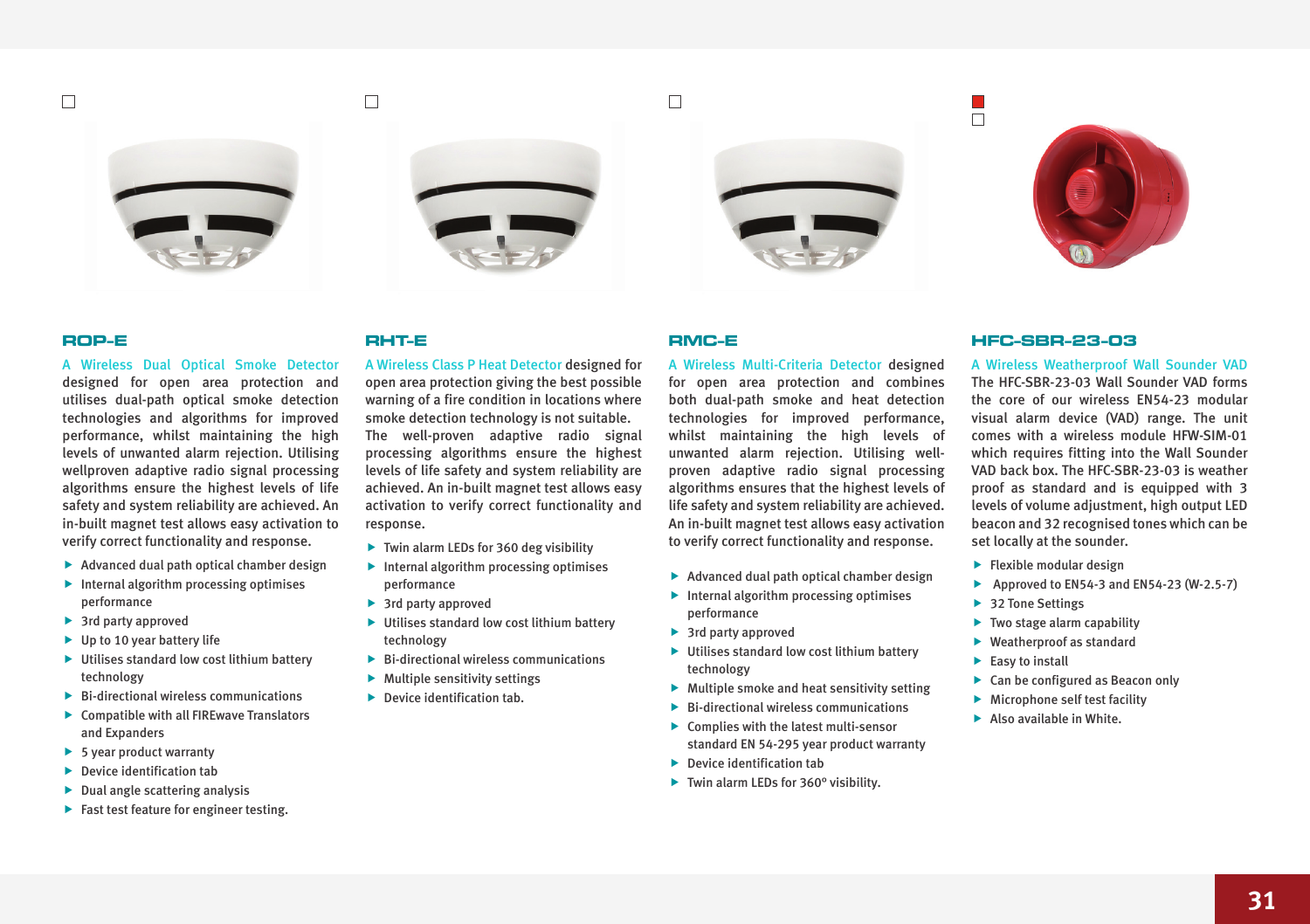$\Box$ 







#### **ROP-E**

A Wireless Dual Optical Smoke Detector designed for open area protection and utilises dual-path optical smoke detection technologies and algorithms for improved performance, whilst maintaining the high levels of unwanted alarm rejection. Utilising wellproven adaptive radio signal processing algorithms ensure the highest levels of life safety and system reliability are achieved. An in-built magnet test allows easy activation to verify correct functionality and response.

- $\blacktriangleright$  Advanced dual path optical chamber design
- $\blacktriangleright$  Internal algorithm processing optimises performance
- $\blacktriangleright$  3rd party approved
- $\blacktriangleright$  Up to 10 year battery life
- $\blacktriangleright$  Utilises standard low cost lithium battery technology
- $\blacktriangleright$  Bi-directional wireless communications
- $\blacktriangleright$  Compatible with all FIREwave Translators and Expanders
- $\blacktriangleright$  5 year product warranty
- $\blacktriangleright$  Device identification tab
- $\blacktriangleright$  Dual angle scattering analysis
- $\blacktriangleright$  Fast test feature for engineer testing.

#### **RHT-E**

 $\Box$ 

A Wireless Class P Heat Detector designed for open area protection giving the best possible warning of a fire condition in locations where smoke detection technology is not suitable. The well-proven adaptive radio signal processing algorithms ensure the highest levels of life safety and system reliability are achieved. An in-built magnet test allows easy activation to verify correct functionality and response.

- $\blacktriangleright$  Twin alarm LEDs for 360 deg visibility
- $\blacktriangleright$  Internal algorithm processing optimises performance
- $\blacktriangleright$  3rd party approved
- $\blacktriangleright$  Utilises standard low cost lithium battery technology
- $\blacktriangleright$  Bi-directional wireless communications
- $\blacktriangleright$  Multiple sensitivity settings
- $\blacktriangleright$  Device identification tab.

#### **RMC-E**

 $\Box$ 

A Wireless Multi-Criteria Detector designed for open area protection and combines both dual-path smoke and heat detection technologies for improved performance, whilst maintaining the high levels of unwanted alarm rejection. Utilising wellproven adaptive radio signal processing algorithms ensures that the highest levels of life safety and system reliability are achieved. An in-built magnet test allows easy activation to verify correct functionality and response.

- $\blacktriangleright$  Advanced dual path optical chamber design
- $\blacktriangleright$  Internal algorithm processing optimises performance
- $\blacktriangleright$  3rd party approved
- $\blacktriangleright$  Utilises standard low cost lithium battery technology
- $\blacktriangleright$  Multiple smoke and heat sensitivity setting
- $\blacktriangleright$  Bi-directional wireless communications
- $\blacktriangleright$  Complies with the latest multi-sensor standard EN 54-295 year product warranty
- $\blacktriangleright$  Device identification tab
- $\blacktriangleright$  Twin alarm LEDs for 360° visibility.

#### **HFC-SBR-23-03**

П ā

A Wireless Weatherproof Wall Sounder VAD The HFC-SBR-23-03 Wall Sounder VAD forms the core of our wireless EN54-23 modular visual alarm device (VAD) range. The unit comes with a wireless module HFW-SIM-01 which requires fitting into the Wall Sounder VAD back box. The HFC-SBR-23-03 is weather proof as standard and is equipped with 3 levels of volume adjustment, high output LED beacon and 32 recognised tones which can be set locally at the sounder.

- $\blacktriangleright$  Flexible modular design
- Approved to  $EN54-3$  and  $EN54-23$   $(W-2.5-7)$
- $\blacktriangleright$  32 Tone Settings
- $\blacktriangleright$  Two stage alarm capability
- $\blacktriangleright$  Weatherproof as standard
- $\blacktriangleright$  Easy to install
- $\blacktriangleright$  Can be configured as Beacon only
- $\blacktriangleright$  Microphone self test facility
- $\blacktriangleright$  Also available in White.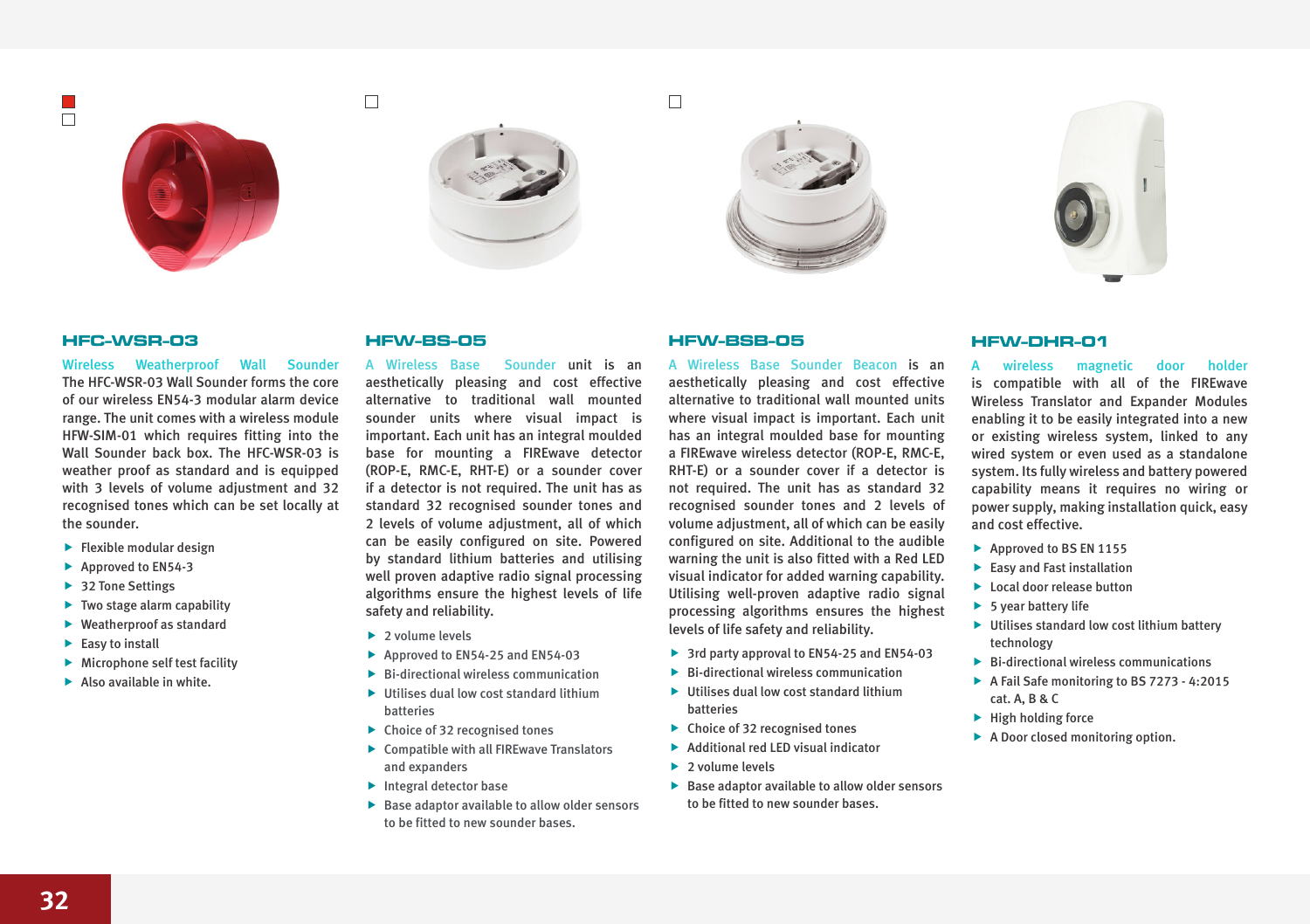$\overline{\phantom{a}}$ 









#### **HFC-WSR-03**

Wireless Weatherproof Wall Sounder The HFC-WSR-03 Wall Sounder forms the core of our wireless EN54-3 modular alarm device range. The unit comes with a wireless module HFW-SIM-01 which requires fitting into the Wall Sounder back box. The HFC-WSR-03 is weather proof as standard and is equipped with 3 levels of volume adjustment and 32 recognised tones which can be set locally at the sounder.

- $\blacktriangleright$  Flexible modular design
- $\blacktriangleright$  Approved to EN54-3
- $\blacktriangleright$  32 Tone Settings
- $\blacktriangleright$  Two stage alarm capability
- $\blacktriangleright$  Weatherproof as standard
- $\blacktriangleright$  Easy to install
- $\blacktriangleright$  Microphone self test facility
- $\blacktriangleright$  Also available in white.

## **HFW-BS-05**

 $\Box$ 

A Wireless Base Sounder unit is an aesthetically pleasing and cost effective alternative to traditional wall mounted sounder units where visual impact is important. Each unit has an integral moulded base for mounting a FIREwave detector (ROP-E, RMC-E, RHT-E) or a sounder cover if a detector is not required. The unit has as standard 32 recognised sounder tones and 2 levels of volume adjustment, all of which can be easily configured on site. Powered by standard lithium batteries and utilising well proven adaptive radio signal processing algorithms ensure the highest levels of life safety and reliability.

- $\blacktriangleright$  2 volume levels
- $\blacktriangleright$  Approved to EN54-25 and EN54-03
- $\blacktriangleright$  Bi-directional wireless communication
- $\blacktriangleright$  Iltilises dual low cost standard lithium batteries
- $\blacktriangleright$  Choice of 32 recognised tones
- $\blacktriangleright$  Compatible with all FIREwave Translators and expanders
- $\blacktriangleright$  Integral detector base
- $\blacktriangleright$  Base adaptor available to allow older sensors to be fitted to new sounder bases.

## **HFW-BSB-05**

 $\Box$ 

A Wireless Base Sounder Beacon is an aesthetically pleasing and cost effective alternative to traditional wall mounted units where visual impact is important. Each unit has an integral moulded base for mounting a FIREwave wireless detector (ROP-E, RMC-E, RHT-E) or a sounder cover if a detector is not required. The unit has as standard 32 recognised sounder tones and 2 levels of volume adjustment, all of which can be easily configured on site. Additional to the audible warning the unit is also fitted with a Red LED visual indicator for added warning capability. Utilising well-proven adaptive radio signal processing algorithms ensures the highest levels of life safety and reliability.

- $\blacktriangleright$  3rd party approval to EN54-25 and EN54-03
- $\blacktriangleright$  Bi-directional wireless communication
- $\blacktriangleright$  Iltilises dual low cost standard lithium batteries
- $\triangleright$  Choice of 32 recognised tones
- **Additional red LED visual indicator**
- $\blacktriangleright$  2 volume levels
- $\blacktriangleright$  Base adaptor available to allow older sensors to be fitted to new sounder bases.

#### **HFW-DHR-01**

wireless magnetic door holder is compatible with all of the FIREwave Wireless Translator and Expander Modules enabling it to be easily integrated into a new or existing wireless system, linked to any wired system or even used as a standalone system. Its fully wireless and battery powered capability means it requires no wiring or power supply, making installation quick, easy and cost effective.

- $\blacktriangleright$  Approved to BS EN 1155
- $\blacktriangleright$  Easy and Fast installation
- $\blacktriangleright$  Local door release button
- $\blacktriangleright$  5 year battery life
- $\blacktriangleright$  Utilises standard low cost lithium battery technology
- $\blacktriangleright$  Bi-directional wireless communications
- $\blacktriangleright$  A Fail Safe monitoring to BS 7273 4:2015 cat. A, B & C
- $\blacktriangleright$  High holding force
- $\blacktriangleright$  A Door closed monitoring option.